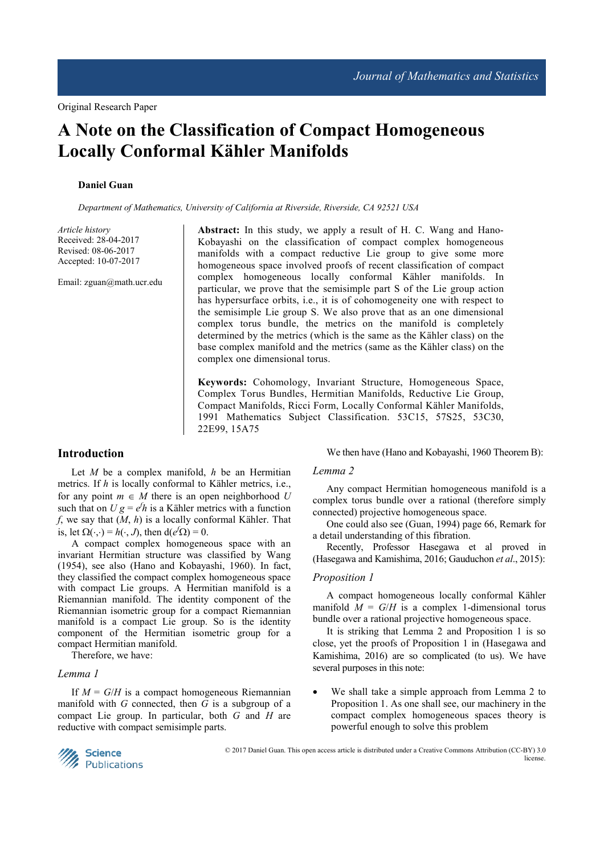# **A Note on the Classification of Compact Homogeneous Locally Conformal Kähler Manifolds**

## **Daniel Guan**

*Department of Mathematics, University of California at Riverside, Riverside, CA 92521 USA* 

*Article history*  Received: 28-04-2017 Revised: 08-06-2017 Accepted: 10-07-2017

Email: zguan@math.ucr.edu

**Abstract:** In this study, we apply a result of H. C. Wang and Hano-Kobayashi on the classification of compact complex homogeneous manifolds with a compact reductive Lie group to give some more homogeneous space involved proofs of recent classification of compact complex homogeneous locally conformal Kähler manifolds. In particular, we prove that the semisimple part S of the Lie group action has hypersurface orbits, i.e., it is of cohomogeneity one with respect to the semisimple Lie group S. We also prove that as an one dimensional complex torus bundle, the metrics on the manifold is completely determined by the metrics (which is the same as the Kähler class) on the base complex manifold and the metrics (same as the Kähler class) on the complex one dimensional torus.

**Keywords:** Cohomology, Invariant Structure, Homogeneous Space, Complex Torus Bundles, Hermitian Manifolds, Reductive Lie Group, Compact Manifolds, Ricci Form, Locally Conformal Kähler Manifolds, 1991 Mathematics Subject Classification. 53C15, 57S25, 53C30, 22E99, 15A75

# **Introduction**

Let *M* be a complex manifold, *h* be an Hermitian metrics. If *h* is locally conformal to Kähler metrics, i.e., for any point  $m \in M$  there is an open neighborhood U such that on  $U g = e^{f} h$  is a Kähler metrics with a function *f*, we say that (*M*, *h*) is a locally conformal Kähler. That is, let  $\Omega(\cdot, \cdot) = h(\cdot, J)$ , then  $d(e^{f}\Omega) = 0$ .

A compact complex homogeneous space with an invariant Hermitian structure was classified by Wang (1954), see also (Hano and Kobayashi, 1960). In fact, they classified the compact complex homogeneous space with compact Lie groups. A Hermitian manifold is a Riemannian manifold. The identity component of the Riemannian isometric group for a compact Riemannian manifold is a compact Lie group. So is the identity component of the Hermitian isometric group for a compact Hermitian manifold.

Therefore, we have:

## *Lemma 1*

If  $M = G/H$  is a compact homogeneous Riemannian manifold with *G* connected, then *G* is a subgroup of a compact Lie group. In particular, both *G* and *H* are reductive with compact semisimple parts.

We then have (Hano and Kobayashi, 1960 Theorem B):

#### *Lemma 2*

Any compact Hermitian homogeneous manifold is a complex torus bundle over a rational (therefore simply connected) projective homogeneous space.

One could also see (Guan, 1994) page 66, Remark for a detail understanding of this fibration.

Recently, Professor Hasegawa et al proved in (Hasegawa and Kamishima, 2016; Gauduchon *et al*., 2015):

#### *Proposition 1*

A compact homogeneous locally conformal Kähler manifold  $M = G/H$  is a complex 1-dimensional torus bundle over a rational projective homogeneous space.

It is striking that Lemma 2 and Proposition 1 is so close, yet the proofs of Proposition 1 in (Hasegawa and Kamishima, 2016) are so complicated (to us). We have several purposes in this note:

We shall take a simple approach from Lemma 2 to Proposition 1. As one shall see, our machinery in the compact complex homogeneous spaces theory is powerful enough to solve this problem



 © 2017 Daniel Guan. This open access article is distributed under a Creative Commons Attribution (CC-BY) 3.0 license.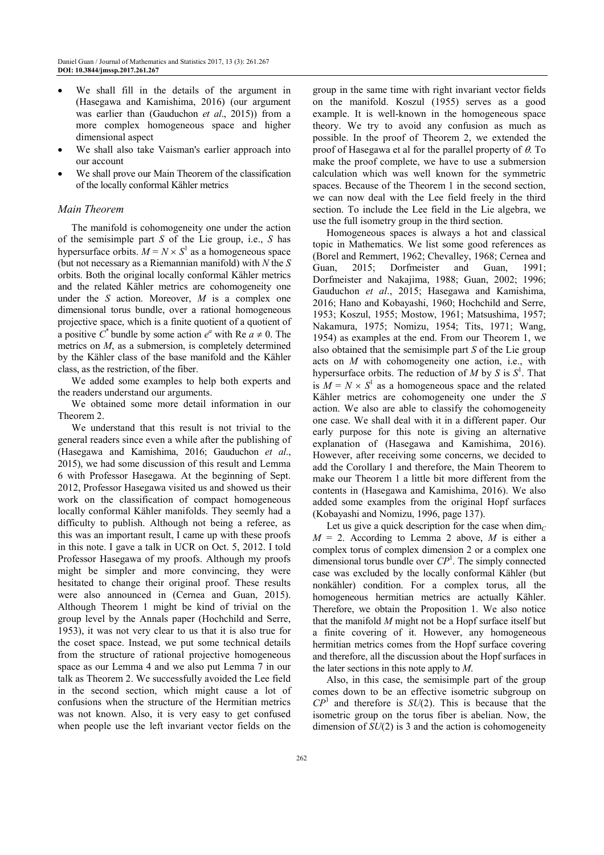- We shall fill in the details of the argument in (Hasegawa and Kamishima, 2016) (our argument was earlier than (Gauduchon *et al*., 2015)) from a more complex homogeneous space and higher dimensional aspect
- We shall also take Vaisman's earlier approach into our account
- We shall prove our Main Theorem of the classification of the locally conformal Kähler metrics

## *Main Theorem*

The manifold is cohomogeneity one under the action of the semisimple part *S* of the Lie group, i.e., *S* has hypersurface orbits.  $M = N \times S^1$  as a homogeneous space (but not necessary as a Riemannian manifold) with *N* the *S* orbits. Both the original locally conformal Kähler metrics and the related Kähler metrics are cohomogeneity one under the *S* action. Moreover, *M* is a complex one dimensional torus bundle, over a rational homogeneous projective space, which is a finite quotient of a quotient of a positive  $C^*$  bundle by some action  $e^a$  with Re  $a \neq 0$ . The metrics on *M*, as a submersion, is completely determined by the Kähler class of the base manifold and the Kähler class, as the restriction, of the fiber.

We added some examples to help both experts and the readers understand our arguments.

We obtained some more detail information in our Theorem 2.

We understand that this result is not trivial to the general readers since even a while after the publishing of (Hasegawa and Kamishima, 2016; Gauduchon *et al*., 2015), we had some discussion of this result and Lemma 6 with Professor Hasegawa. At the beginning of Sept. 2012, Professor Hasegawa visited us and showed us their work on the classification of compact homogeneous locally conformal Kähler manifolds. They seemly had a difficulty to publish. Although not being a referee, as this was an important result, I came up with these proofs in this note. I gave a talk in UCR on Oct. 5, 2012. I told Professor Hasegawa of my proofs. Although my proofs might be simpler and more convincing, they were hesitated to change their original proof. These results were also announced in (Cernea and Guan, 2015). Although Theorem 1 might be kind of trivial on the group level by the Annals paper (Hochchild and Serre, 1953), it was not very clear to us that it is also true for the coset space. Instead, we put some technical details from the structure of rational projective homogeneous space as our Lemma 4 and we also put Lemma 7 in our talk as Theorem 2. We successfully avoided the Lee field in the second section, which might cause a lot of confusions when the structure of the Hermitian metrics was not known. Also, it is very easy to get confused when people use the left invariant vector fields on the

group in the same time with right invariant vector fields on the manifold. Koszul (1955) serves as a good example. It is well-known in the homogeneous space theory. We try to avoid any confusion as much as possible. In the proof of Theorem 2, we extended the proof of Hasegawa et al for the parallel property of  $\theta$ . To make the proof complete, we have to use a submersion calculation which was well known for the symmetric spaces. Because of the Theorem 1 in the second section, we can now deal with the Lee field freely in the third section. To include the Lee field in the Lie algebra, we use the full isometry group in the third section.

Homogeneous spaces is always a hot and classical topic in Mathematics. We list some good references as (Borel and Remmert, 1962; Chevalley, 1968; Cernea and Guan, 2015; Dorfmeister and Guan, 1991; Dorfmeister and Nakajima, 1988; Guan, 2002; 1996; Gauduchon *et al*., 2015; Hasegawa and Kamishima, 2016; Hano and Kobayashi, 1960; Hochchild and Serre, 1953; Koszul, 1955; Mostow, 1961; Matsushima, 1957; Nakamura, 1975; Nomizu, 1954; Tits, 1971; Wang, 1954) as examples at the end. From our Theorem 1, we also obtained that the semisimple part *S* of the Lie group acts on *M* with cohomogeneity one action, i.e., with hypersurface orbits. The reduction of  $M$  by  $S$  is  $S^1$ . That is  $M = N \times S^1$  as a homogeneous space and the related Kähler metrics are cohomogeneity one under the *S* action. We also are able to classify the cohomogeneity one case. We shall deal with it in a different paper. Our early purpose for this note is giving an alternative explanation of (Hasegawa and Kamishima, 2016). However, after receiving some concerns, we decided to add the Corollary 1 and therefore, the Main Theorem to make our Theorem 1 a little bit more different from the contents in (Hasegawa and Kamishima, 2016). We also added some examples from the original Hopf surfaces (Kobayashi and Nomizu, 1996, page 137).

Let us give a quick description for the case when  $\dim_C$  $M = 2$ . According to Lemma 2 above, *M* is either a complex torus of complex dimension 2 or a complex one dimensional torus bundle over  $\mathbb{CP}^1$ . The simply connected case was excluded by the locally conformal Kähler (but nonkähler) condition. For a complex torus, all the homogeneous hermitian metrics are actually Kähler. Therefore, we obtain the Proposition 1. We also notice that the manifold *M* might not be a Hopf surface itself but a finite covering of it. However, any homogeneous hermitian metrics comes from the Hopf surface covering and therefore, all the discussion about the Hopf surfaces in the later sections in this note apply to *M*.

Also, in this case, the semisimple part of the group comes down to be an effective isometric subgroup on *CP*<sup>1</sup> and therefore is *SU*(2). This is because that the isometric group on the torus fiber is abelian. Now, the dimension of *SU*(2) is 3 and the action is cohomogeneity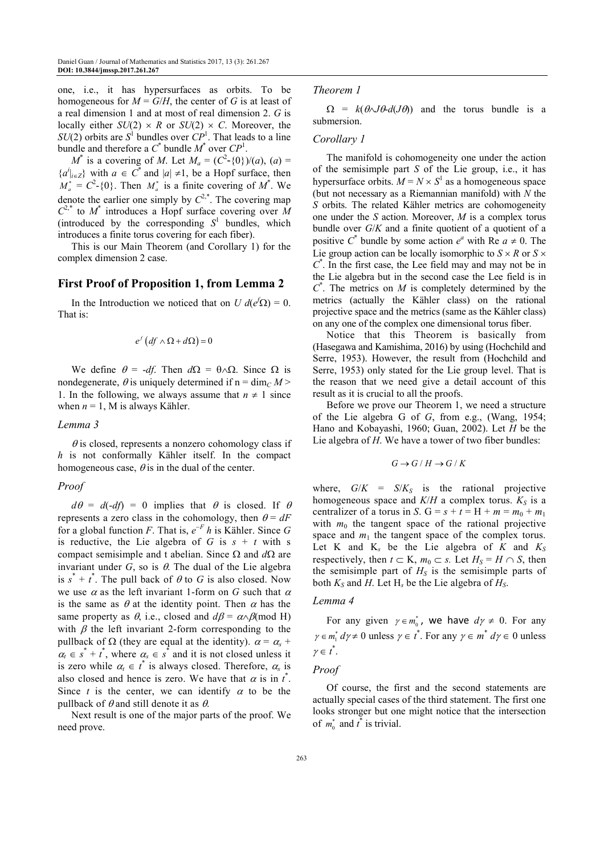one, i.e., it has hypersurfaces as orbits. To be homogeneous for  $M = G/H$ , the center of G is at least of a real dimension 1 and at most of real dimension 2. *G* is locally either  $SU(2) \times R$  or  $SU(2) \times C$ . Moreover, the  $SU(2)$  orbits are  $S^1$  bundles over  $CP^1$ . That leads to a line bundle and therefore a  $C^*$  bundle  $M^*$  over  $CP^1$ .

*M*<sup>\*</sup> is a covering of *M*. Let  $M_a = (C^2 - \{0\})/(a)$ ,  $(a) =$ { $a^i|_{i \in \mathbb{Z}}$ } with *a* ∈ *C*<sup>\*</sup> and  $|a| ≠ 1$ , be a Hopf surface, then |  $M_a^* = C^2$ -{0}. Then  $M_a^*$  is a finite covering of  $M^*$ . We denote the earlier one simply by  $C^{2,*}$ . The covering map  $C^{2,*}$  to  $M^*$  introduces a Hopf surface covering over  $\overline{M}$ (introduced by the corresponding  $S<sup>1</sup>$  bundles, which introduces a finite torus covering for each fiber).

This is our Main Theorem (and Corollary 1) for the complex dimension 2 case.

# **First Proof of Proposition 1, from Lemma 2**

In the Introduction we noticed that on *U*  $d(e^{f}\Omega) = 0$ . That is:

$$
e^f\left( df \wedge \Omega + d\Omega \right) = 0
$$

We define  $\theta = -df$ . Then  $d\Omega = \theta \wedge \Omega$ . Since  $\Omega$  is nondegenerate,  $\theta$  is uniquely determined if  $n = \dim_C M$ 1. In the following, we always assume that  $n \neq 1$  since when  $n = 1$ , M is always Kähler.

#### *Lemma 3*

 $\theta$  is closed, represents a nonzero cohomology class if *h* is not conformally Kähler itself. In the compact homogeneous case,  $\theta$  is in the dual of the center.

#### *Proof*

 $d\theta = d(-df) = 0$  implies that  $\theta$  is closed. If  $\theta$ represents a zero class in the cohomology, then  $\theta = dF$ for a global function *F*. That is,  $e^{-F}$  *h* is Kähler. Since *G* is reductive, the Lie algebra of *G* is  $s + t$  with s compact semisimple and t abelian. Since Ω and *d*Ω are invariant under  $G$ , so is  $\theta$ . The dual of the Lie algebra is  $s^* + t^*$ . The pull back of  $\theta$  to *G* is also closed. Now we use  $\alpha$  as the left invariant 1-form on *G* such that  $\alpha$ is the same as  $\theta$  at the identity point. Then  $\alpha$  has the same property as  $\theta$ , i.e., closed and  $d\beta = \alpha \wedge \beta$  (mod H) with  $\beta$  the left invariant 2-form corresponding to the pullback of  $\Omega$  (they are equal at the identity).  $\alpha = \alpha_s + \alpha_s$  $\alpha_t \in s^* + t^*$ , where  $\alpha_s \in s^*$  and it is not closed unless it is zero while  $\alpha_i \in t^*$  is always closed. Therefore,  $\alpha_s$  is also closed and hence is zero. We have that  $\alpha$  is in  $t^*$ . Since *t* is the center, we can identify  $\alpha$  to be the pullback of  $\theta$  and still denote it as  $\theta$ .

Next result is one of the major parts of the proof. We need prove.

#### *Theorem 1*

 $\Omega = k(\theta \Delta J \theta - d(J\theta))$  and the torus bundle is a submersion.

## *Corollary 1*

The manifold is cohomogeneity one under the action of the semisimple part *S* of the Lie group, i.e., it has hypersurface orbits.  $M = N \times S^1$  as a homogeneous space (but not necessary as a Riemannian manifold) with *N* the *S* orbits. The related Kähler metrics are cohomogeneity one under the *S* action. Moreover, *M* is a complex torus bundle over *G*/*K* and a finite quotient of a quotient of a positive  $C^*$  bundle by some action  $e^a$  with Re  $a \neq 0$ . The Lie group action can be locally isomorphic to  $S \times R$  or  $S \times R$ *C* \* . In the first case, the Lee field may and may not be in the Lie algebra but in the second case the Lee field is in  $C^*$ . The metrics on *M* is completely determined by the metrics (actually the Kähler class) on the rational projective space and the metrics (same as the Kähler class) on any one of the complex one dimensional torus fiber.

Notice that this Theorem is basically from (Hasegawa and Kamishima, 2016) by using (Hochchild and Serre, 1953). However, the result from (Hochchild and Serre, 1953) only stated for the Lie group level. That is the reason that we need give a detail account of this result as it is crucial to all the proofs.

Before we prove our Theorem 1, we need a structure of the Lie algebra G of *G*, from e.g., (Wang, 1954; Hano and Kobayashi, 1960; Guan, 2002). Let *H* be the Lie algebra of *H*. We have a tower of two fiber bundles:

$$
G \to G/H \to G/K
$$

where,  $G/K = S/K<sub>S</sub>$  is the rational projective homogeneous space and  $K/H$  a complex torus.  $K_S$  is a centralizer of a torus in *S*.  $G = s + t = H + m = m_0 + m_1$ with  $m_0$  the tangent space of the rational projective space and  $m_1$  the tangent space of the complex torus. Let K and  $K_s$  be the Lie algebra of K and  $K_s$ respectively, then  $t \subset K$ ,  $m_0 \subset s$ . Let  $H_s = H \cap S$ , then the semisimple part of  $H<sub>S</sub>$  is the semisimple parts of both  $K_S$  and  $H$ . Let  $H_s$  be the Lie algebra of  $H_S$ .

#### *Lemma 4*

For any given  $\gamma \in m_0^*$ , we have  $d\gamma \neq 0$ . For any  $\gamma \in m_1^* d\gamma \neq 0$  unless  $\gamma \in t^*$ . For any  $\gamma \in m^* d\gamma \in 0$  unless  $\gamma \in t^*$ .

#### *Proof*

Of course, the first and the second statements are actually special cases of the third statement. The first one looks stronger but one might notice that the intersection of  $m_0^*$  and  $t^*$  is trivial.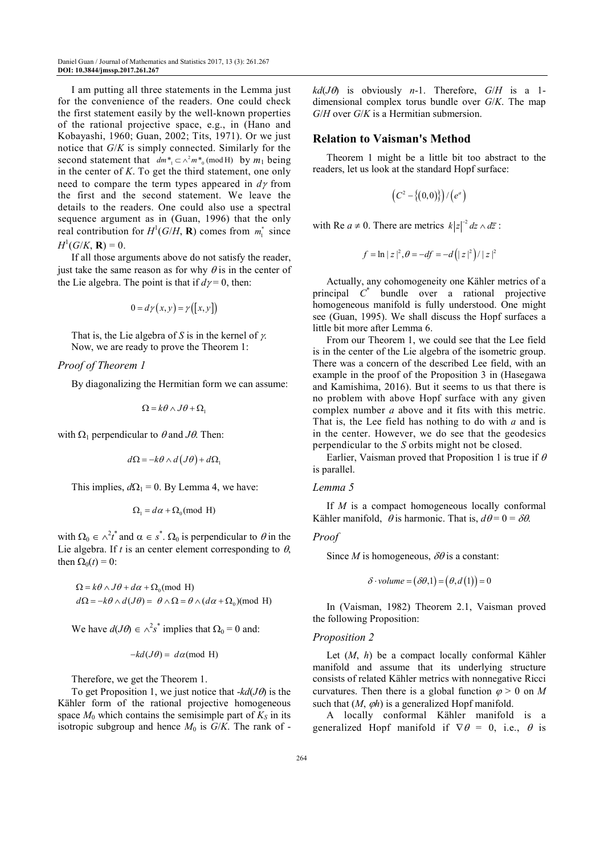I am putting all three statements in the Lemma just for the convenience of the readers. One could check the first statement easily by the well-known properties of the rational projective space, e.g., in (Hano and Kobayashi, 1960; Guan, 2002; Tits, 1971). Or we just notice that *G*/*K* is simply connected. Similarly for the second statement that  $dm_{1}^{*} \subset \wedge^{2} m_{0}^{*} \pmod{H}$  by  $m_{1}$  being in the center of *K*. To get the third statement, one only need to compare the term types appeared in *d*γ from the first and the second statement. We leave the details to the readers. One could also use a spectral sequence argument as in (Guan, 1996) that the only real contribution for  $H^1(G/H, \mathbf{R})$  comes from  $m_1^*$  since  $H^1(G/K, \mathbf{R}) = 0.$ 

If all those arguments above do not satisfy the reader, just take the same reason as for why  $\theta$  is in the center of the Lie algebra. The point is that if  $d\gamma = 0$ , then:

$$
0 = d\gamma(x, y) = \gamma([x, y])
$$

That is, the Lie algebra of *S* is in the kernel of γ. Now, we are ready to prove the Theorem 1:

#### *Proof of Theorem 1*

By diagonalizing the Hermitian form we can assume:

$$
\Omega = k\theta \wedge J\theta + \Omega_1
$$

with  $\Omega_1$  perpendicular to  $\theta$  and  $J\theta$ . Then:

$$
d\Omega = -k\theta \wedge d\left(J\theta\right) + d\Omega_1
$$

This implies,  $d\Omega_1 = 0$ . By Lemma 4, we have:

$$
\Omega_1 = d\alpha + \Omega_0 \text{(mod H)}
$$

with  $\Omega_0 \in \wedge^2 t^*$  and  $\alpha \in s^*$ .  $\Omega_0$  is perpendicular to  $\theta$  in the Lie algebra. If  $t$  is an center element corresponding to  $\theta$ , then  $\Omega_0(t) = 0$ :

 $\Omega = k\theta \wedge J\theta + d\alpha + \Omega_0 \text{(mod H)}$  $d\Omega = -k\theta \wedge d(J\theta) = \theta \wedge \Omega = \theta \wedge (d\alpha + \Omega_0) \text{(mod H)}$ 

We have  $d(J\theta) \in \wedge^2 s^*$  implies that  $\Omega_0 = 0$  and:

$$
-kd(J\theta) = d\alpha \pmod{H}
$$

Therefore, we get the Theorem 1.

To get Proposition 1, we just notice that -*kd*(*J*θ) is the Kähler form of the rational projective homogeneous space  $M_0$  which contains the semisimple part of  $K_S$  in its isotropic subgroup and hence  $M_0$  is  $G/K$ . The rank of -  $kd(J\theta)$  is obviously *n*-1. Therefore,  $G/H$  is a 1dimensional complex torus bundle over *G*/*K*. The map *G*/*H* over *G*/*K* is a Hermitian submersion.

## **Relation to Vaisman's Method**

Theorem 1 might be a little bit too abstract to the readers, let us look at the standard Hopf surface:

$$
(C^2-\{(0,0)\})/(e^a)
$$

with Re  $a \neq 0$ . There are metrics  $k|z|^{-2} dz \wedge d\overline{z}$ :

$$
f = \ln |z|^2
$$
,  $\theta = -df = -d(|z|^2)/|z|^2$ 

Actually, any cohomogeneity one Kähler metrics of a principal *C* \* bundle over a rational projective homogeneous manifold is fully understood. One might see (Guan, 1995). We shall discuss the Hopf surfaces a little bit more after Lemma 6.

From our Theorem 1, we could see that the Lee field is in the center of the Lie algebra of the isometric group. There was a concern of the described Lee field, with an example in the proof of the Proposition 3 in (Hasegawa and Kamishima, 2016). But it seems to us that there is no problem with above Hopf surface with any given complex number *a* above and it fits with this metric. That is, the Lee field has nothing to do with *a* and is in the center. However, we do see that the geodesics perpendicular to the *S* orbits might not be closed.

Earlier, Vaisman proved that Proposition 1 is true if  $\theta$ is parallel.

#### *Lemma 5*

If *M* is a compact homogeneous locally conformal Kähler manifold,  $\theta$  is harmonic. That is,  $d\theta = 0 = \delta\theta$ .

*Proof* 

Since *M* is homogeneous,  $\delta\theta$  is a constant:

$$
\delta \cdot volume = (\delta \theta, 1) = (\theta, d(1)) = 0
$$

In (Vaisman, 1982) Theorem 2.1, Vaisman proved the following Proposition:

## *Proposition 2*

Let (*M*, *h*) be a compact locally conformal Kähler manifold and assume that its underlying structure consists of related Kähler metrics with nonnegative Ricci curvatures. Then there is a global function  $\varphi > 0$  on M such that  $(M, \varphi h)$  is a generalized Hopf manifold.

A locally conformal Kähler manifold is a generalized Hopf manifold if  $\nabla \theta = 0$ , i.e.,  $\theta$  is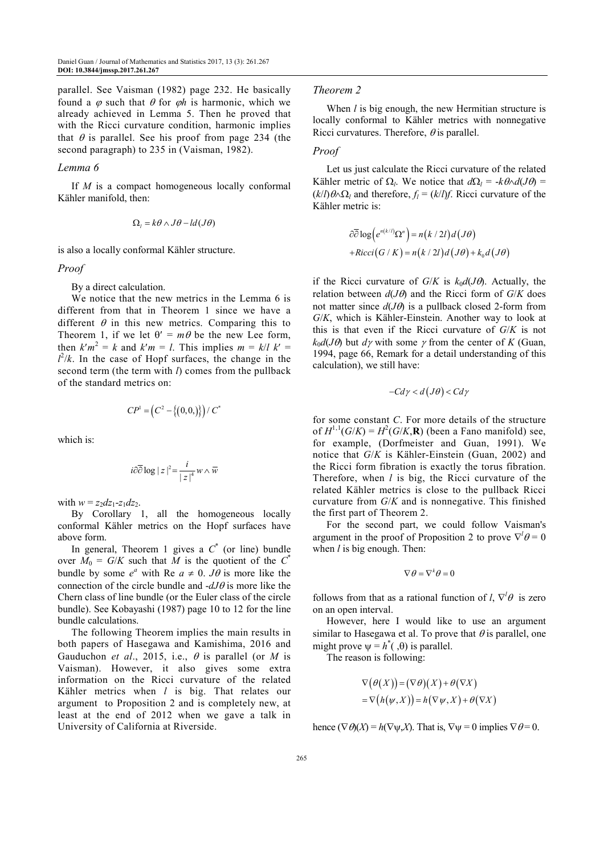parallel. See Vaisman (1982) page 232. He basically found a  $\varphi$  such that  $\theta$  for  $\varphi h$  is harmonic, which we already achieved in Lemma 5. Then he proved that with the Ricci curvature condition, harmonic implies that  $\theta$  is parallel. See his proof from page 234 (the second paragraph) to 235 in (Vaisman, 1982).

#### *Lemma 6*

If *M* is a compact homogeneous locally conformal Kähler manifold, then:

$$
\Omega_l = k\theta \wedge J\theta - ld(J\theta)
$$

is also a locally conformal Kähler structure.

#### *Proof*

By a direct calculation.

We notice that the new metrics in the Lemma 6 is different from that in Theorem 1 since we have a different  $\theta$  in this new metrics. Comparing this to Theorem 1, if we let  $\theta' = m\theta$  be the new Lee form, then  $k'm^2 = k$  and  $k'm = l$ . This implies  $m = k/l$   $k' =$  $l^2/k$ . In the case of Hopf surfaces, the change in the second term (the term with *l*) comes from the pullback of the standard metrics on:

$$
CP^{1} = \left(C^{2} - \{(0,0)\}\right) / C^{*}
$$

which is:

$$
i\partial\overline{\partial}\log|z|^2 = \frac{i}{|z|^4}w \wedge \overline{w}
$$

with  $w = z_2 dz_1 - z_1 dz_2$ .

By Corollary 1, all the homogeneous locally conformal Kähler metrics on the Hopf surfaces have above form.

In general, Theorem 1 gives a  $C^*$  (or line) bundle over  $M_0 = G/K$  such that M is the quotient of the  $C^*$ bundle by some  $e^a$  with Re  $a \neq 0$ . *J* $\theta$  is more like the connection of the circle bundle and -*dJ*θ is more like the Chern class of line bundle (or the Euler class of the circle bundle). See Kobayashi (1987) page 10 to 12 for the line bundle calculations.

The following Theorem implies the main results in both papers of Hasegawa and Kamishima, 2016 and Gauduchon *et al.*, 2015, i.e.,  $\theta$  is parallel (or *M* is Vaisman). However, it also gives some extra information on the Ricci curvature of the related Kähler metrics when *l* is big. That relates our argument to Proposition 2 and is completely new, at least at the end of 2012 when we gave a talk in University of California at Riverside.

# *Theorem 2*

When *l* is big enough, the new Hermitian structure is locally conformal to Kähler metrics with nonnegative Ricci curvatures. Therefore,  $\theta$  is parallel.

# *Proof*

Let us just calculate the Ricci curvature of the related Kähler metric of  $\Omega_l$ . We notice that  $d\Omega_l = -k\theta \wedge d(J\theta) =$  $(k/l) θ ∆ Ω<sub>l</sub>$  and therefore,  $f<sub>l</sub> = (k/l)f$ . Ricci curvature of the Kähler metric is:

$$
\partial \overline{\partial} \log \Bigl(e^{n(k/l)} \Omega^n \Bigr) = n(k/2l) d(J\theta)
$$
  
+*Ricci*(*G*/*K*) = *n*(*k*/*2l*) d(*J\theta*) + *k*<sub>0</sub>d(*J\theta*)

if the Ricci curvature of  $G/K$  is  $k_0d(J\theta)$ . Actually, the relation between  $d(J\theta)$  and the Ricci form of  $G/K$  does not matter since  $d(J\theta)$  is a pullback closed 2-form from *G*/*K*, which is Kähler-Einstein. Another way to look at this is that even if the Ricci curvature of *G*/*K* is not  $k_0d(J\theta)$  but  $d\gamma$  with some  $\gamma$  from the center of *K* (Guan, 1994, page 66, Remark for a detail understanding of this calculation), we still have:

$$
-Cd\gamma < d(J\theta) < Cd\gamma
$$

for some constant *C*. For more details of the structure of  $H^{1,1}(G/K) = H^2(G/K, \mathbf{R})$  (been a Fano manifold) see, for example, (Dorfmeister and Guan, 1991). We notice that *G*/*K* is Kähler-Einstein (Guan, 2002) and the Ricci form fibration is exactly the torus fibration. Therefore, when *l* is big, the Ricci curvature of the related Kähler metrics is close to the pullback Ricci curvature from *G*/*K* and is nonnegative. This finished the first part of Theorem 2.

For the second part, we could follow Vaisman's argument in the proof of Proposition 2 to prove  $\nabla^l \theta = 0$ when *l* is big enough. Then:

$$
\nabla \theta = \nabla^k \theta = 0
$$

follows from that as a rational function of *l*,  $\nabla^l \theta$  is zero on an open interval.

However, here I would like to use an argument similar to Hasegawa et al. To prove that  $\theta$  is parallel, one might prove  $\psi = h^*(0, \theta)$  is parallel.

The reason is following:

$$
\nabla (\theta(X)) = (\nabla \theta)(X) + \theta(\nabla X)
$$
  
= 
$$
\nabla (h(\psi, X)) = h(\nabla \psi, X) + \theta(\nabla X)
$$

hence  $(\nabla \Theta)(X) = h(\nabla \Psi, X)$ . That is,  $\nabla \Psi = 0$  implies  $\nabla \Theta = 0$ .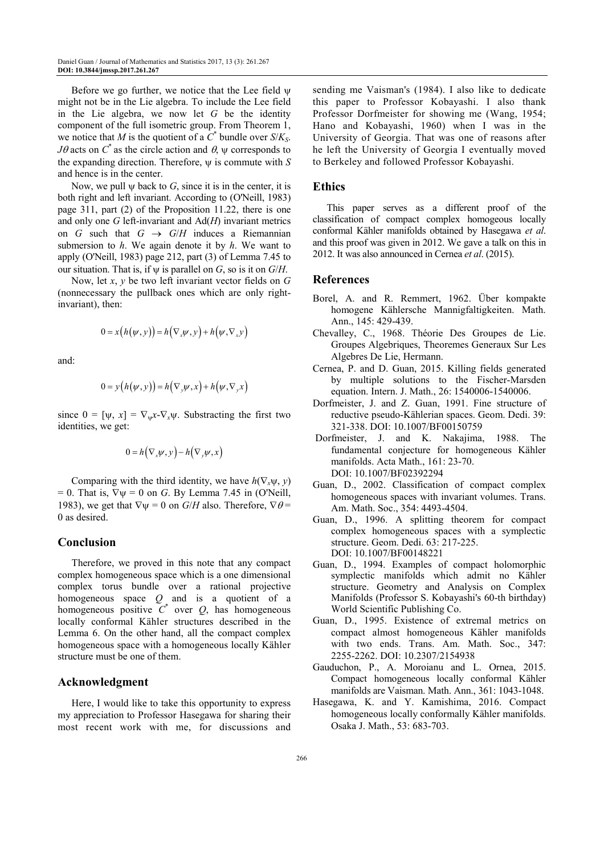Before we go further, we notice that the Lee field  $\psi$ might not be in the Lie algebra. To include the Lee field in the Lie algebra, we now let *G* be the identity component of the full isometric group. From Theorem 1, we notice that *M* is the quotient of a  $\overrightarrow{C}^*$  bundle over *S/K<sub>S</sub>*. *J*θ acts on  $C^*$  as the circle action and  $\theta$ ,  $\psi$  corresponds to the expanding direction. Therefore, ψ is commute with *S* and hence is in the center.

Now, we pull ψ back to *G*, since it is in the center, it is both right and left invariant. According to (O'Neill, 1983) page 311, part (2) of the Proposition 11.22, there is one and only one *G* left-invariant and Ad(*H*) invariant metrics on *G* such that  $G \rightarrow G/H$  induces a Riemannian submersion to *h*. We again denote it by *h*. We want to apply (O'Neill, 1983) page 212, part (3) of Lemma 7.45 to our situation. That is, if  $\psi$  is parallel on *G*, so is it on *G*/*H*.

Now, let *x*, *y* be two left invariant vector fields on *G* (nonnecessary the pullback ones which are only rightinvariant), then:

$$
0 = x(h(\psi, y)) = h(\nabla_x \psi, y) + h(\psi, \nabla_x y)
$$

and:

$$
0 = y(h(\psi, y)) = h(\nabla_y \psi, x) + h(\psi, \nabla_y x)
$$

since  $0 = [\psi, x] = \nabla_{\psi} x - \nabla_{x} \psi$ . Substracting the first two identities, we get:

$$
0 = h(\nabla_x \psi, y) - h(\nabla_y \psi, x)
$$

Comparing with the third identity, we have  $h(\nabla_x \psi, y)$  $= 0$ . That is,  $\nabla \psi = 0$  on *G*. By Lemma 7.45 in (O'Neill, 1983), we get that  $\nabla \psi = 0$  on *G*/*H* also. Therefore,  $\nabla \theta =$ 0 as desired.

# **Conclusion**

Therefore, we proved in this note that any compact complex homogeneous space which is a one dimensional complex torus bundle over a rational projective homogeneous space *Q* and is a quotient of a homogeneous positive  $C^*$  over  $Q$ , has homogeneous locally conformal Kähler structures described in the Lemma 6. On the other hand, all the compact complex homogeneous space with a homogeneous locally Kähler structure must be one of them.

# **Acknowledgment**

Here, I would like to take this opportunity to express my appreciation to Professor Hasegawa for sharing their most recent work with me, for discussions and sending me Vaisman's (1984). I also like to dedicate this paper to Professor Kobayashi. I also thank Professor Dorfmeister for showing me (Wang, 1954; Hano and Kobayashi, 1960) when I was in the University of Georgia. That was one of reasons after he left the University of Georgia I eventually moved to Berkeley and followed Professor Kobayashi.

## **Ethics**

This paper serves as a different proof of the classification of compact complex homogeous locally conformal Kähler manifolds obtained by Hasegawa *et al*. and this proof was given in 2012. We gave a talk on this in 2012. It was also announced in Cernea *et al*. (2015).

## **References**

- Borel, A. and R. Remmert, 1962. Über kompakte homogene Kählersche Mannigfaltigkeiten. Math. Ann., 145: 429-439.
- Chevalley, C., 1968. Théorie Des Groupes de Lie. Groupes Algebriques, Theoremes Generaux Sur Les Algebres De Lie, Hermann.
- Cernea, P. and D. Guan, 2015. Killing fields generated by multiple solutions to the Fischer-Marsden equation. Intern. J. Math., 26: 1540006-1540006.
- Dorfmeister, J. and Z. Guan, 1991. Fine structure of reductive pseudo-Kählerian spaces. Geom. Dedi. 39: 321-338. DOI: 10.1007/BF00150759
- Dorfmeister, J. and K. Nakajima, 1988. The fundamental conjecture for homogeneous Kähler manifolds. Acta Math., 161: 23-70. DOI: 10.1007/BF02392294
- Guan, D., 2002. Classification of compact complex homogeneous spaces with invariant volumes. Trans. Am. Math. Soc., 354: 4493-4504.
- Guan, D., 1996. A splitting theorem for compact complex homogeneous spaces with a symplectic structure. Geom. Dedi. 63: 217-225. DOI: 10.1007/BF00148221
- Guan, D., 1994. Examples of compact holomorphic symplectic manifolds which admit no Kähler structure. Geometry and Analysis on Complex Manifolds (Professor S. Kobayashi's 60-th birthday) World Scientific Publishing Co.
- Guan, D., 1995. Existence of extremal metrics on compact almost homogeneous Kähler manifolds with two ends. Trans. Am. Math. Soc., 347: 2255-2262. DOI: 10.2307/2154938
- Gauduchon, P., A. Moroianu and L. Ornea, 2015. Compact homogeneous locally conformal Kähler manifolds are Vaisman. Math. Ann., 361: 1043-1048.
- Hasegawa, K. and Y. Kamishima, 2016. Compact homogeneous locally conformally Kähler manifolds. Osaka J. Math., 53: 683-703.